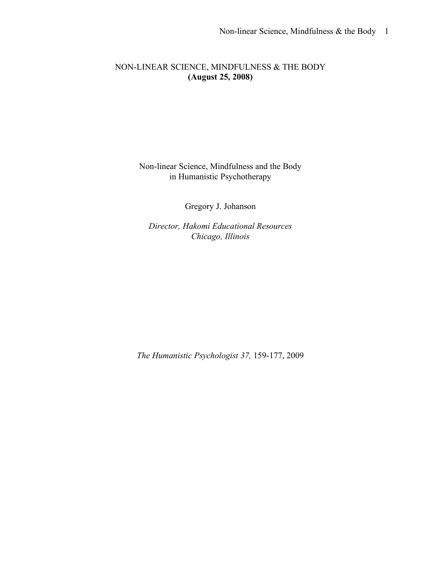# NON-LINEAR SCIENCE, MINDFULNESS & THE BODY **(August 25, 2008)**

Non-linear Science, Mindfulness and the Body in Humanistic Psychotherapy

Gregory J. Johanson

*Director, Hakomi Educational Resources Chicago, Illinois*

*The Humanistic Psychologist 37,* 159-177, 2009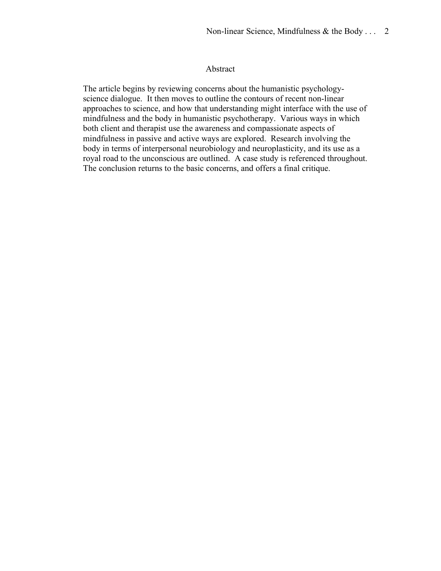#### Abstract

The article begins by reviewing concerns about the humanistic psychologyscience dialogue. It then moves to outline the contours of recent non-linear approaches to science, and how that understanding might interface with the use of mindfulness and the body in humanistic psychotherapy. Various ways in which both client and therapist use the awareness and compassionate aspects of mindfulness in passive and active ways are explored. Research involving the body in terms of interpersonal neurobiology and neuroplasticity, and its use as a royal road to the unconscious are outlined. A case study is referenced throughout. The conclusion returns to the basic concerns, and offers a final critique.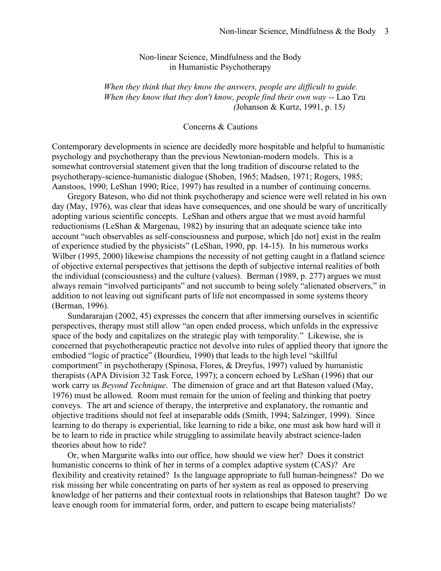### Non-linear Science, Mindfulness and the Body in Humanistic Psychotherapy

*When they think that they know the answers, people are difficult to guide. When they know that they don't know, people find their own way --* Lao Tzu *(*Johanson & Kurtz, 1991, p. 15*)*

### Concerns & Cautions

Contemporary developments in science are decidedly more hospitable and helpful to humanistic psychology and psychotherapy than the previous Newtonian-modern models. This is a somewhat controversial statement given that the long tradition of discourse related to the psychotherapy-science-humanistic dialogue (Shoben, 1965; Madsen, 1971; Rogers, 1985; Aanstoos, 1990; LeShan 1990; Rice, 1997) has resulted in a number of continuing concerns.

Gregory Bateson, who did not think psychotherapy and science were well related in his own day (May, 1976), was clear that ideas have consequences, and one should be wary of uncritically adopting various scientific concepts. LeShan and others argue that we must avoid harmful reductionisms (LeShan & Margenau, 1982) by insuring that an adequate science take into account "such observables as self-consciousness and purpose, which [do not] exist in the realm of experience studied by the physicists" (LeShan, 1990, pp. 14-15). In his numerous works Wilber (1995, 2000) likewise champions the necessity of not getting caught in a flatland science of objective external perspectives that jettisons the depth of subjective internal realities of both the individual (consciousness) and the culture (values). Berman (1989, p. 277) argues we must always remain "involved participants" and not succumb to being solely "alienated observers," in addition to not leaving out significant parts of life not encompassed in some systems theory (Berman, 1996).

Sundararajan (2002, 45) expresses the concern that after immersing ourselves in scientific perspectives, therapy must still allow "an open ended process, which unfolds in the expressive space of the body and capitalizes on the strategic play with temporality." Likewise, she is concerned that psychotherapeutic practice not devolve into rules of applied theory that ignore the embodied "logic of practice" (Bourdieu, 1990) that leads to the high level "skillful comportment" in psychotherapy (Spinosa, Flores, & Dreyfus, 1997) valued by humanistic therapists (APA Division 32 Task Force, 1997); a concern echoed by LeShan (1996) that our work carry us *Beyond Technique*. The dimension of grace and art that Bateson valued (May, 1976) must be allowed. Room must remain for the union of feeling and thinking that poetry conveys. The art and science of therapy, the interpretive and explanatory, the romantic and objective traditions should not feel at inseparable odds (Smith, 1994; Salzinger, 1999). Since learning to do therapy is experiential, like learning to ride a bike, one must ask how hard will it be to learn to ride in practice while struggling to assimilate heavily abstract science-laden theories about how to ride?

Or, when Margurite walks into our office, how should we view her? Does it constrict humanistic concerns to think of her in terms of a complex adaptive system (CAS)? Are flexibility and creativity retained? Is the language appropriate to full human-beingness? Do we risk missing her while concentrating on parts of her system as real as opposed to preserving knowledge of her patterns and their contextual roots in relationships that Bateson taught? Do we leave enough room for immaterial form, order, and pattern to escape being materialists?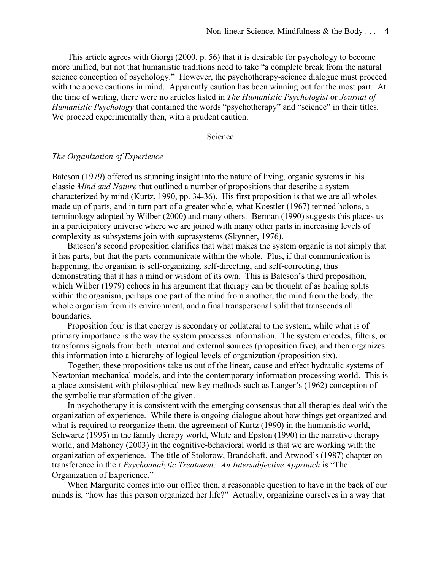This article agrees with Giorgi (2000, p. 56) that it is desirable for psychology to become more unified, but not that humanistic traditions need to take "a complete break from the natural science conception of psychology." However, the psychotherapy-science dialogue must proceed with the above cautions in mind. Apparently caution has been winning out for the most part. At the time of writing, there were no articles listed in *The Humanistic Psychologist* or *Journal of Humanistic Psychology* that contained the words "psychotherapy" and "science" in their titles. We proceed experimentally then, with a prudent caution.

Science

#### *The Organization of Experience*

Bateson (1979) offered us stunning insight into the nature of living, organic systems in his classic *Mind and Nature* that outlined a number of propositions that describe a system characterized by mind (Kurtz, 1990, pp. 34-36). His first proposition is that we are all wholes made up of parts, and in turn part of a greater whole, what Koestler (1967) termed holons, a terminology adopted by Wilber (2000) and many others. Berman (1990) suggests this places us in a participatory universe where we are joined with many other parts in increasing levels of complexity as subsystems join with suprasystems (Skynner, 1976).

Bateson's second proposition clarifies that what makes the system organic is not simply that it has parts, but that the parts communicate within the whole. Plus, if that communication is happening, the organism is self-organizing, self-directing, and self-correcting, thus demonstrating that it has a mind or wisdom of its own. This is Bateson's third proposition, which Wilber (1979) echoes in his argument that therapy can be thought of as healing splits within the organism; perhaps one part of the mind from another, the mind from the body, the whole organism from its environment, and a final transpersonal split that transcends all boundaries.

Proposition four is that energy is secondary or collateral to the system, while what is of primary importance is the way the system processes information. The system encodes, filters, or transforms signals from both internal and external sources (proposition five), and then organizes this information into a hierarchy of logical levels of organization (proposition six).

Together, these propositions take us out of the linear, cause and effect hydraulic systems of Newtonian mechanical models, and into the contemporary information processing world. This is a place consistent with philosophical new key methods such as Langer's (1962) conception of the symbolic transformation of the given.

In psychotherapy it is consistent with the emerging consensus that all therapies deal with the organization of experience. While there is ongoing dialogue about how things get organized and what is required to reorganize them, the agreement of Kurtz (1990) in the humanistic world, Schwartz (1995) in the family therapy world, White and Epston (1990) in the narrative therapy world, and Mahoney (2003) in the cognitive-behavioral world is that we are working with the organization of experience. The title of Stolorow, Brandchaft, and Atwood's (1987) chapter on transference in their *Psychoanalytic Treatment: An Intersubjective Approach* is "The Organization of Experience."

When Margurite comes into our office then, a reasonable question to have in the back of our minds is, "how has this person organized her life?" Actually, organizing ourselves in a way that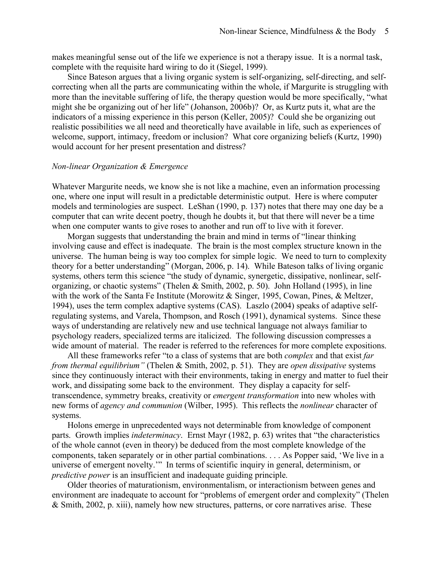makes meaningful sense out of the life we experience is not a therapy issue. It is a normal task, complete with the requisite hard wiring to do it (Siegel, 1999).

Since Bateson argues that a living organic system is self-organizing, self-directing, and selfcorrecting when all the parts are communicating within the whole, if Margurite is struggling with more than the inevitable suffering of life, the therapy question would be more specifically, "what might she be organizing out of her life" (Johanson, 2006b)? Or, as Kurtz puts it, what are the indicators of a missing experience in this person (Keller, 2005)? Could she be organizing out realistic possibilities we all need and theoretically have available in life, such as experiences of welcome, support, intimacy, freedom or inclusion? What core organizing beliefs (Kurtz, 1990) would account for her present presentation and distress?

#### *Non-linear Organization & Emergence*

Whatever Margurite needs, we know she is not like a machine, even an information processing one, where one input will result in a predictable deterministic output. Here is where computer models and terminologies are suspect. LeShan (1990, p. 137) notes that there may one day be a computer that can write decent poetry, though he doubts it, but that there will never be a time when one computer wants to give roses to another and run off to live with it forever.

Morgan suggests that understanding the brain and mind in terms of "linear thinking involving cause and effect is inadequate. The brain is the most complex structure known in the universe. The human being is way too complex for simple logic. We need to turn to complexity theory for a better understanding" (Morgan, 2006, p. 14). While Bateson talks of living organic systems, others term this science "the study of dynamic, synergetic, dissipative, nonlinear, selforganizing, or chaotic systems" (Thelen & Smith, 2002, p. 50). John Holland (1995), in line with the work of the Santa Fe Institute (Morowitz & Singer, 1995, Cowan, Pines, & Meltzer, 1994), uses the term complex adaptive systems (CAS). Laszlo (2004) speaks of adaptive selfregulating systems, and Varela, Thompson, and Rosch (1991), dynamical systems. Since these ways of understanding are relatively new and use technical language not always familiar to psychology readers, specialized terms are italicized. The following discussion compresses a wide amount of material. The reader is referred to the references for more complete expositions.

All these frameworks refer "to a class of systems that are both *complex* and that exist *far from thermal equilibrium"* (Thelen & Smith, 2002, p. 51). They are *open dissipative* systems since they continuously interact with their environments, taking in energy and matter to fuel their work, and dissipating some back to the environment. They display a capacity for selftranscendence, symmetry breaks, creativity or *emergent transformation* into new wholes with new forms of *agency and communion* (Wilber, 1995). This reflects the *nonlinear* character of systems.

Holons emerge in unprecedented ways not determinable from knowledge of component parts. Growth implies *indeterminacy*. Ernst Mayr (1982, p. 63) writes that "the characteristics of the whole cannot (even in theory) be deduced from the most complete knowledge of the components, taken separately or in other partial combinations. . . . As Popper said, 'We live in a universe of emergent novelty.'" In terms of scientific inquiry in general, determinism, or *predictive power* is an insufficient and inadequate guiding principle.

Older theories of maturationism, environmentalism, or interactionism between genes and environment are inadequate to account for "problems of emergent order and complexity" (Thelen & Smith, 2002, p. xiii), namely how new structures, patterns, or core narratives arise. These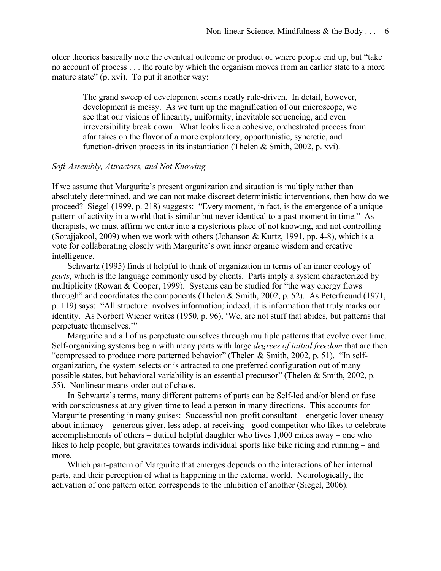older theories basically note the eventual outcome or product of where people end up, but "take no account of process . . . the route by which the organism moves from an earlier state to a more mature state" (p. xvi). To put it another way:

The grand sweep of development seems neatly rule-driven. In detail, however, development is messy. As we turn up the magnification of our microscope, we see that our visions of linearity, uniformity, inevitable sequencing, and even irreversibility break down. What looks like a cohesive, orchestrated process from afar takes on the flavor of a more exploratory, opportunistic, syncretic, and function-driven process in its instantiation (Thelen & Smith, 2002, p. xvi).

### *Soft-Assembly, Attractors, and Not Knowing*

If we assume that Margurite's present organization and situation is multiply rather than absolutely determined, and we can not make discreet deterministic interventions, then how do we proceed? Siegel (1999, p. 218) suggests: "Every moment, in fact, is the emergence of a unique pattern of activity in a world that is similar but never identical to a past moment in time." As therapists, we must affirm we enter into a mysterious place of not knowing, and not controlling (Sorajjakool, 2009) when we work with others (Johanson & Kurtz, 1991, pp. 4-8), which is a vote for collaborating closely with Margurite's own inner organic wisdom and creative intelligence.

Schwartz (1995) finds it helpful to think of organization in terms of an inner ecology of *parts*, which is the language commonly used by clients. Parts imply a system characterized by multiplicity (Rowan  $& Cooper, 1999)$ . Systems can be studied for "the way energy flows through" and coordinates the components (Thelen & Smith, 2002, p. 52). As Peterfreund (1971, p. 119) says: "All structure involves information; indeed, it is information that truly marks our identity. As Norbert Wiener writes (1950, p. 96), 'We, are not stuff that abides, but patterns that perpetuate themselves.'"

Margurite and all of us perpetuate ourselves through multiple patterns that evolve over time. Self-organizing systems begin with many parts with large *degrees of initial freedom* that are then "compressed to produce more patterned behavior" (Thelen & Smith, 2002, p. 51). "In selforganization, the system selects or is attracted to one preferred configuration out of many possible states, but behavioral variability is an essential precursor" (Thelen & Smith, 2002, p. 55). Nonlinear means order out of chaos.

In Schwartz's terms, many different patterns of parts can be Self-led and/or blend or fuse with consciousness at any given time to lead a person in many directions. This accounts for Margurite presenting in many guises: Successful non-profit consultant – energetic lover uneasy about intimacy – generous giver, less adept at receiving - good competitor who likes to celebrate accomplishments of others – dutiful helpful daughter who lives 1,000 miles away – one who likes to help people, but gravitates towards individual sports like bike riding and running – and more.

Which part-pattern of Margurite that emerges depends on the interactions of her internal parts, and their perception of what is happening in the external world. Neurologically, the activation of one pattern often corresponds to the inhibition of another (Siegel, 2006).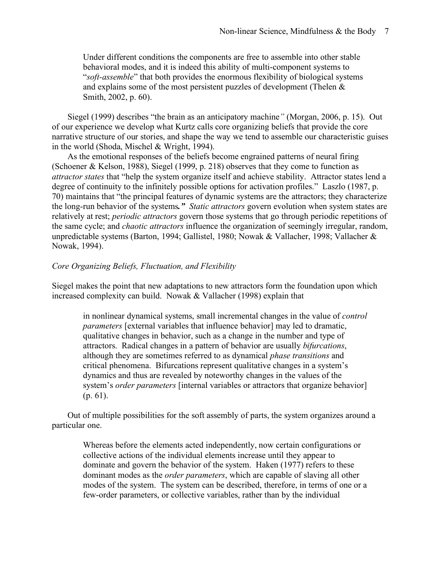Under different conditions the components are free to assemble into other stable behavioral modes, and it is indeed this ability of multi-component systems to "*soft-assemble*" that both provides the enormous flexibility of biological systems and explains some of the most persistent puzzles of development (Thelen & Smith, 2002, p. 60).

Siegel (1999) describes "the brain as an anticipatory machine*"* (Morgan, 2006, p. 15). Out of our experience we develop what Kurtz calls core organizing beliefs that provide the core narrative structure of our stories, and shape the way we tend to assemble our characteristic guises in the world (Shoda, Mischel & Wright, 1994).

As the emotional responses of the beliefs become engrained patterns of neural firing (Schoener & Kelson, 1988), Siegel (1999, p. 218) observes that they come to function as *attractor states* that "help the system organize itself and achieve stability. Attractor states lend a degree of continuity to the infinitely possible options for activation profiles." Laszlo (1987, p. 70) maintains that "the principal features of dynamic systems are the attractors; they characterize the long-run behavior of the systems*." Static attractors* govern evolution when system states are relatively at rest; *periodic attractors* govern those systems that go through periodic repetitions of the same cycle; and *chaotic attractors* influence the organization of seemingly irregular, random, unpredictable systems (Barton, 1994; Gallistel, 1980; Nowak & Vallacher, 1998; Vallacher & Nowak, 1994).

## *Core Organizing Beliefs, Fluctuation, and Flexibility*

Siegel makes the point that new adaptations to new attractors form the foundation upon which increased complexity can build. Nowak & Vallacher (1998) explain that

in nonlinear dynamical systems, small incremental changes in the value of *control parameters* [external variables that influence behavior] may led to dramatic, qualitative changes in behavior, such as a change in the number and type of attractors. Radical changes in a pattern of behavior are usually *bifurcations*, although they are sometimes referred to as dynamical *phase transitions* and critical phenomena. Bifurcations represent qualitative changes in a system's dynamics and thus are revealed by noteworthy changes in the values of the system's *order parameters* [internal variables or attractors that organize behavior] (p. 61).

Out of multiple possibilities for the soft assembly of parts, the system organizes around a particular one.

Whereas before the elements acted independently, now certain configurations or collective actions of the individual elements increase until they appear to dominate and govern the behavior of the system. Haken (1977) refers to these dominant modes as the *order parameters*, which are capable of slaving all other modes of the system. The system can be described, therefore, in terms of one or a few-order parameters, or collective variables, rather than by the individual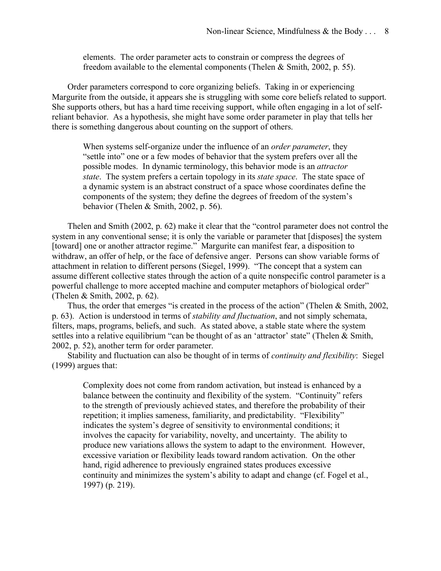elements. The order parameter acts to constrain or compress the degrees of freedom available to the elemental components (Thelen & Smith, 2002, p. 55).

Order parameters correspond to core organizing beliefs. Taking in or experiencing Margurite from the outside, it appears she is struggling with some core beliefs related to support. She supports others, but has a hard time receiving support, while often engaging in a lot of selfreliant behavior. As a hypothesis, she might have some order parameter in play that tells her there is something dangerous about counting on the support of others.

When systems self-organize under the influence of an *order parameter*, they "settle into" one or a few modes of behavior that the system prefers over all the possible modes. In dynamic terminology, this behavior mode is an *attractor state*. The system prefers a certain topology in its *state space*. The state space of a dynamic system is an abstract construct of a space whose coordinates define the components of the system; they define the degrees of freedom of the system's behavior (Thelen & Smith, 2002, p. 56).

Thelen and Smith (2002, p. 62) make it clear that the "control parameter does not control the system in any conventional sense; it is only the variable or parameter that [disposes] the system [toward] one or another attractor regime." Margurite can manifest fear, a disposition to withdraw, an offer of help, or the face of defensive anger. Persons can show variable forms of attachment in relation to different persons (Siegel, 1999). "The concept that a system can assume different collective states through the action of a quite nonspecific control parameter is a powerful challenge to more accepted machine and computer metaphors of biological order" (Thelen & Smith, 2002, p. 62).

Thus, the order that emerges "is created in the process of the action" (Thelen & Smith, 2002, p. 63). Action is understood in terms of *stability and fluctuation*, and not simply schemata, filters, maps, programs, beliefs, and such. As stated above, a stable state where the system settles into a relative equilibrium "can be thought of as an 'attractor' state" (Thelen & Smith, 2002, p. 52), another term for order parameter.

Stability and fluctuation can also be thought of in terms of *continuity and flexibility*: Siegel (1999) argues that:

Complexity does not come from random activation, but instead is enhanced by a balance between the continuity and flexibility of the system. "Continuity" refers to the strength of previously achieved states, and therefore the probability of their repetition; it implies sameness, familiarity, and predictability. "Flexibility" indicates the system's degree of sensitivity to environmental conditions; it involves the capacity for variability, novelty, and uncertainty. The ability to produce new variations allows the system to adapt to the environment. However, excessive variation or flexibility leads toward random activation. On the other hand, rigid adherence to previously engrained states produces excessive continuity and minimizes the system's ability to adapt and change (cf. Fogel et al., 1997) (p. 219).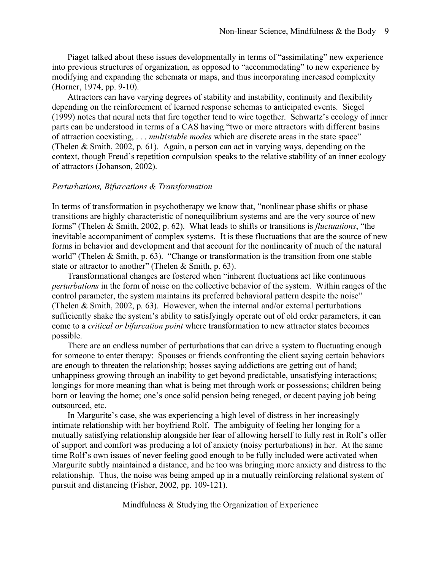Piaget talked about these issues developmentally in terms of "assimilating" new experience into previous structures of organization, as opposed to "accommodating" to new experience by modifying and expanding the schemata or maps, and thus incorporating increased complexity (Horner, 1974, pp. 9-10).

Attractors can have varying degrees of stability and instability, continuity and flexibility depending on the reinforcement of learned response schemas to anticipated events. Siegel (1999) notes that neural nets that fire together tend to wire together. Schwartz's ecology of inner parts can be understood in terms of a CAS having "two or more attractors with different basins of attraction coexisting, . . . *multistable modes* which are discrete areas in the state space" (Thelen & Smith, 2002, p. 61). Again, a person can act in varying ways, depending on the context, though Freud's repetition compulsion speaks to the relative stability of an inner ecology of attractors (Johanson, 2002).

### *Perturbations, Bifurcations & Transformation*

In terms of transformation in psychotherapy we know that, "nonlinear phase shifts or phase transitions are highly characteristic of nonequilibrium systems and are the very source of new forms" (Thelen & Smith, 2002, p. 62). What leads to shifts or transitions is *fluctuations*, "the inevitable accompaniment of complex systems. It is these fluctuations that are the source of new forms in behavior and development and that account for the nonlinearity of much of the natural world" (Thelen & Smith, p. 63). "Change or transformation is the transition from one stable state or attractor to another" (Thelen & Smith, p. 63).

Transformational changes are fostered when "inherent fluctuations act like continuous *perturbations* in the form of noise on the collective behavior of the system. Within ranges of the control parameter, the system maintains its preferred behavioral pattern despite the noise" (Thelen & Smith, 2002, p. 63). However, when the internal and/or external perturbations sufficiently shake the system's ability to satisfyingly operate out of old order parameters, it can come to a *critical or bifurcation point* where transformation to new attractor states becomes possible.

There are an endless number of perturbations that can drive a system to fluctuating enough for someone to enter therapy: Spouses or friends confronting the client saying certain behaviors are enough to threaten the relationship; bosses saying addictions are getting out of hand; unhappiness growing through an inability to get beyond predictable, unsatisfying interactions; longings for more meaning than what is being met through work or possessions; children being born or leaving the home; one's once solid pension being reneged, or decent paying job being outsourced, etc.

In Margurite's case, she was experiencing a high level of distress in her increasingly intimate relationship with her boyfriend Rolf. The ambiguity of feeling her longing for a mutually satisfying relationship alongside her fear of allowing herself to fully rest in Rolf's offer of support and comfort was producing a lot of anxiety (noisy perturbations) in her. At the same time Rolf's own issues of never feeling good enough to be fully included were activated when Margurite subtly maintained a distance, and he too was bringing more anxiety and distress to the relationship. Thus, the noise was being amped up in a mutually reinforcing relational system of pursuit and distancing (Fisher, 2002, pp. 109-121).

Mindfulness & Studying the Organization of Experience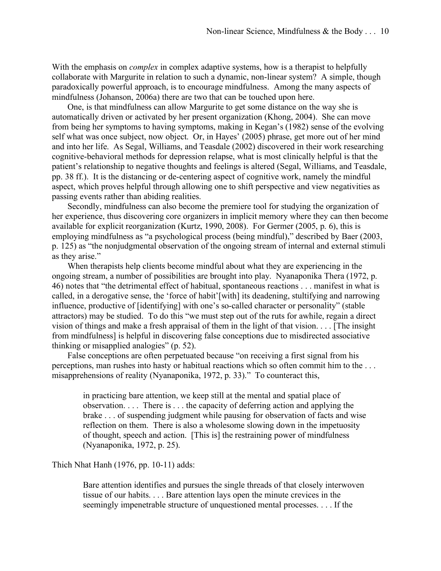With the emphasis on *complex* in complex adaptive systems, how is a therapist to helpfully collaborate with Margurite in relation to such a dynamic, non-linear system? A simple, though paradoxically powerful approach, is to encourage mindfulness. Among the many aspects of mindfulness (Johanson, 2006a) there are two that can be touched upon here.

One, is that mindfulness can allow Margurite to get some distance on the way she is automatically driven or activated by her present organization (Khong, 2004). She can move from being her symptoms to having symptoms, making in Kegan's (1982) sense of the evolving self what was once subject, now object. Or, in Hayes' (2005) phrase, get more out of her mind and into her life. As Segal, Williams, and Teasdale (2002) discovered in their work researching cognitive-behavioral methods for depression relapse, what is most clinically helpful is that the patient's relationship to negative thoughts and feelings is altered (Segal, Williams, and Teasdale, pp. 38 ff.). It is the distancing or de-centering aspect of cognitive work, namely the mindful aspect, which proves helpful through allowing one to shift perspective and view negativities as passing events rather than abiding realities.

Secondly, mindfulness can also become the premiere tool for studying the organization of her experience, thus discovering core organizers in implicit memory where they can then become available for explicit reorganization (Kurtz, 1990, 2008). For Germer (2005, p. 6), this is employing mindfulness as "a psychological process (being mindful)," described by Baer (2003, p. 125) as "the nonjudgmental observation of the ongoing stream of internal and external stimuli as they arise."

When therapists help clients become mindful about what they are experiencing in the ongoing stream, a number of possibilities are brought into play. Nyanaponika Thera (1972, p. 46) notes that "the detrimental effect of habitual, spontaneous reactions . . . manifest in what is called, in a derogative sense, the 'force of habit'[with] its deadening, stultifying and narrowing influence, productive of [identifying] with one's so-called character or personality" (stable attractors) may be studied. To do this "we must step out of the ruts for awhile, regain a direct vision of things and make a fresh appraisal of them in the light of that vision. . . . [The insight from mindfulness] is helpful in discovering false conceptions due to misdirected associative thinking or misapplied analogies" (p. 52).

False conceptions are often perpetuated because "on receiving a first signal from his perceptions, man rushes into hasty or habitual reactions which so often commit him to the . . . misapprehensions of reality (Nyanaponika, 1972, p. 33)." To counteract this,

in practicing bare attention, we keep still at the mental and spatial place of observation. . . . There is . . . the capacity of deferring action and applying the brake . . . of suspending judgment while pausing for observation of facts and wise reflection on them. There is also a wholesome slowing down in the impetuosity of thought, speech and action. [This is] the restraining power of mindfulness (Nyanaponika, 1972, p. 25).

Thich Nhat Hanh (1976, pp. 10-11) adds:

Bare attention identifies and pursues the single threads of that closely interwoven tissue of our habits. . . . Bare attention lays open the minute crevices in the seemingly impenetrable structure of unquestioned mental processes. . . . If the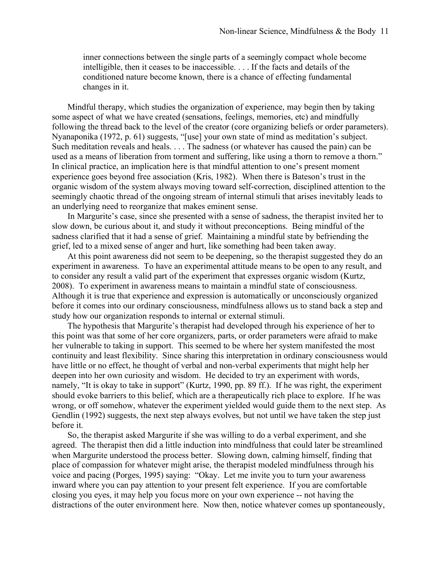inner connections between the single parts of a seemingly compact whole become intelligible, then it ceases to be inaccessible. . . . If the facts and details of the conditioned nature become known, there is a chance of effecting fundamental changes in it.

Mindful therapy, which studies the organization of experience, may begin then by taking some aspect of what we have created (sensations, feelings, memories, etc) and mindfully following the thread back to the level of the creator (core organizing beliefs or order parameters). Nyanaponika (1972, p. 61) suggests, "[use] your own state of mind as meditation's subject. Such meditation reveals and heals. . . . The sadness (or whatever has caused the pain) can be used as a means of liberation from torment and suffering, like using a thorn to remove a thorn." In clinical practice, an implication here is that mindful attention to one's present moment experience goes beyond free association (Kris, 1982). When there is Bateson's trust in the organic wisdom of the system always moving toward self-correction, disciplined attention to the seemingly chaotic thread of the ongoing stream of internal stimuli that arises inevitably leads to an underlying need to reorganize that makes eminent sense.

In Margurite's case, since she presented with a sense of sadness, the therapist invited her to slow down, be curious about it, and study it without preconceptions. Being mindful of the sadness clarified that it had a sense of grief. Maintaining a mindful state by befriending the grief, led to a mixed sense of anger and hurt, like something had been taken away.

At this point awareness did not seem to be deepening, so the therapist suggested they do an experiment in awareness. To have an experimental attitude means to be open to any result, and to consider any result a valid part of the experiment that expresses organic wisdom (Kurtz, 2008). To experiment in awareness means to maintain a mindful state of consciousness. Although it is true that experience and expression is automatically or unconsciously organized before it comes into our ordinary consciousness, mindfulness allows us to stand back a step and study how our organization responds to internal or external stimuli.

The hypothesis that Margurite's therapist had developed through his experience of her to this point was that some of her core organizers, parts, or order parameters were afraid to make her vulnerable to taking in support. This seemed to be where her system manifested the most continuity and least flexibility. Since sharing this interpretation in ordinary consciousness would have little or no effect, he thought of verbal and non-verbal experiments that might help her deepen into her own curiosity and wisdom. He decided to try an experiment with words, namely, "It is okay to take in support" (Kurtz, 1990, pp. 89 ff.). If he was right, the experiment should evoke barriers to this belief, which are a therapeutically rich place to explore. If he was wrong, or off somehow, whatever the experiment yielded would guide them to the next step. As Gendlin (1992) suggests, the next step always evolves, but not until we have taken the step just before it.

So, the therapist asked Margurite if she was willing to do a verbal experiment, and she agreed. The therapist then did a little induction into mindfulness that could later be streamlined when Margurite understood the process better. Slowing down, calming himself, finding that place of compassion for whatever might arise, the therapist modeled mindfulness through his voice and pacing (Porges, 1995) saying: "Okay. Let me invite you to turn your awareness inward where you can pay attention to your present felt experience. If you are comfortable closing you eyes, it may help you focus more on your own experience -- not having the distractions of the outer environment here. Now then, notice whatever comes up spontaneously,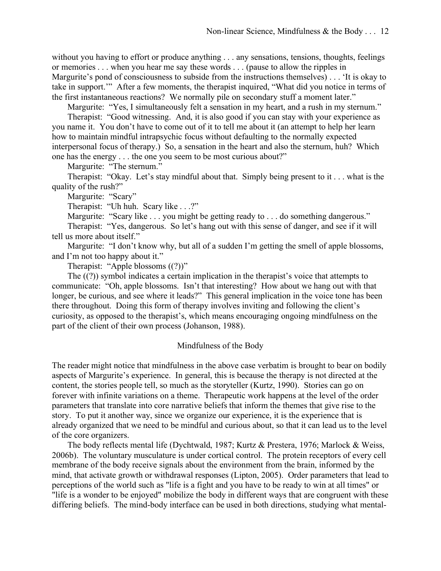without you having to effort or produce anything . . . any sensations, tensions, thoughts, feelings or memories . . . when you hear me say these words . . . (pause to allow the ripples in Margurite's pond of consciousness to subside from the instructions themselves) . . . 'It is okay to take in support.'" After a few moments, the therapist inquired, "What did you notice in terms of the first instantaneous reactions? We normally pile on secondary stuff a moment later."

Margurite: "Yes, I simultaneously felt a sensation in my heart, and a rush in my sternum."

Therapist: "Good witnessing. And, it is also good if you can stay with your experience as you name it. You don't have to come out of it to tell me about it (an attempt to help her learn how to maintain mindful intrapsychic focus without defaulting to the normally expected interpersonal focus of therapy.) So, a sensation in the heart and also the sternum, huh? Which one has the energy . . . the one you seem to be most curious about?"

Margurite: "The sternum."

Therapist: "Okay. Let's stay mindful about that. Simply being present to it . . . what is the quality of the rush?"

Margurite: "Scary"

Therapist: "Uh huh. Scary like . . .?"

Margurite: "Scary like . . . you might be getting ready to . . . do something dangerous."

Therapist: "Yes, dangerous. So let's hang out with this sense of danger, and see if it will tell us more about itself."

Margurite: "I don't know why, but all of a sudden I'm getting the smell of apple blossoms, and I'm not too happy about it."

Therapist: "Apple blossoms ((?))"

The ((?)) symbol indicates a certain implication in the therapist's voice that attempts to communicate: "Oh, apple blossoms. Isn't that interesting? How about we hang out with that longer, be curious, and see where it leads?" This general implication in the voice tone has been there throughout. Doing this form of therapy involves inviting and following the client's curiosity, as opposed to the therapist's, which means encouraging ongoing mindfulness on the part of the client of their own process (Johanson, 1988).

#### Mindfulness of the Body

The reader might notice that mindfulness in the above case verbatim is brought to bear on bodily aspects of Margurite's experience. In general, this is because the therapy is not directed at the content, the stories people tell, so much as the storyteller (Kurtz, 1990). Stories can go on forever with infinite variations on a theme. Therapeutic work happens at the level of the order parameters that translate into core narrative beliefs that inform the themes that give rise to the story. To put it another way, since we organize our experience, it is the experience that is already organized that we need to be mindful and curious about, so that it can lead us to the level of the core organizers.

The body reflects mental life (Dychtwald, 1987; Kurtz & Prestera, 1976; Marlock & Weiss, 2006b). The voluntary musculature is under cortical control. The protein receptors of every cell membrane of the body receive signals about the environment from the brain, informed by the mind, that activate growth or withdrawal responses (Lipton, 2005). Order parameters that lead to perceptions of the world such as "life is a fight and you have to be ready to win at all times" or "life is a wonder to be enjoyed" mobilize the body in different ways that are congruent with these differing beliefs. The mind-body interface can be used in both directions, studying what mental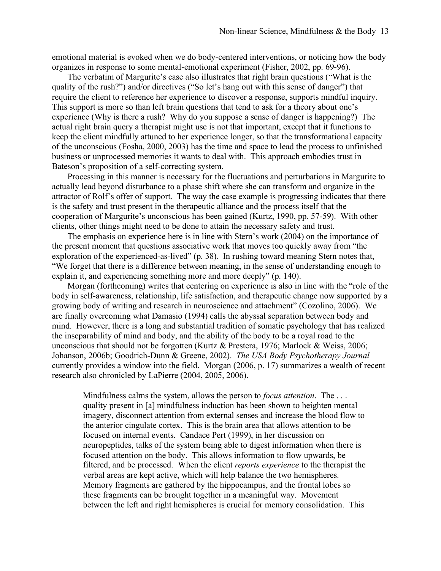emotional material is evoked when we do body-centered interventions, or noticing how the body organizes in response to some mental-emotional experiment (Fisher, 2002, pp. 69-96).

The verbatim of Margurite's case also illustrates that right brain questions ("What is the quality of the rush?") and/or directives ("So let's hang out with this sense of danger") that require the client to reference her experience to discover a response, supports mindful inquiry. This support is more so than left brain questions that tend to ask for a theory about one's experience (Why is there a rush? Why do you suppose a sense of danger is happening?) The actual right brain query a therapist might use is not that important, except that it functions to keep the client mindfully attuned to her experience longer, so that the transformational capacity of the unconscious (Fosha, 2000, 2003) has the time and space to lead the process to unfinished business or unprocessed memories it wants to deal with. This approach embodies trust in Bateson's proposition of a self-correcting system.

Processing in this manner is necessary for the fluctuations and perturbations in Margurite to actually lead beyond disturbance to a phase shift where she can transform and organize in the attractor of Rolf's offer of support. The way the case example is progressing indicates that there is the safety and trust present in the therapeutic alliance and the process itself that the cooperation of Margurite's unconscious has been gained (Kurtz, 1990, pp. 57-59). With other clients, other things might need to be done to attain the necessary safety and trust.

The emphasis on experience here is in line with Stern's work (2004) on the importance of the present moment that questions associative work that moves too quickly away from "the exploration of the experienced-as-lived" (p. 38). In rushing toward meaning Stern notes that, "We forget that there is a difference between meaning, in the sense of understanding enough to explain it, and experiencing something more and more deeply" (p. 140).

Morgan (forthcoming) writes that centering on experience is also in line with the "role of the body in self-awareness, relationship, life satisfaction, and therapeutic change now supported by a growing body of writing and research in neuroscience and attachment" (Cozolino, 2006). We are finally overcoming what Damasio (1994) calls the abyssal separation between body and mind. However, there is a long and substantial tradition of somatic psychology that has realized the inseparability of mind and body, and the ability of the body to be a royal road to the unconscious that should not be forgotten (Kurtz & Prestera, 1976; Marlock & Weiss, 2006; Johanson, 2006b; Goodrich-Dunn & Greene, 2002). *The USA Body Psychotherapy Journal* currently provides a window into the field. Morgan (2006, p. 17) summarizes a wealth of recent research also chronicled by LaPierre (2004, 2005, 2006).

Mindfulness calms the system, allows the person to *focus attention*. The . . . quality present in [a] mindfulness induction has been shown to heighten mental imagery, disconnect attention from external senses and increase the blood flow to the anterior cingulate cortex. This is the brain area that allows attention to be focused on internal events. Candace Pert (1999), in her discussion on neuropeptides, talks of the system being able to digest information when there is focused attention on the body. This allows information to flow upwards, be filtered, and be processed. When the client *reports experience* to the therapist the verbal areas are kept active, which will help balance the two hemispheres. Memory fragments are gathered by the hippocampus, and the frontal lobes so these fragments can be brought together in a meaningful way. Movement between the left and right hemispheres is crucial for memory consolidation. This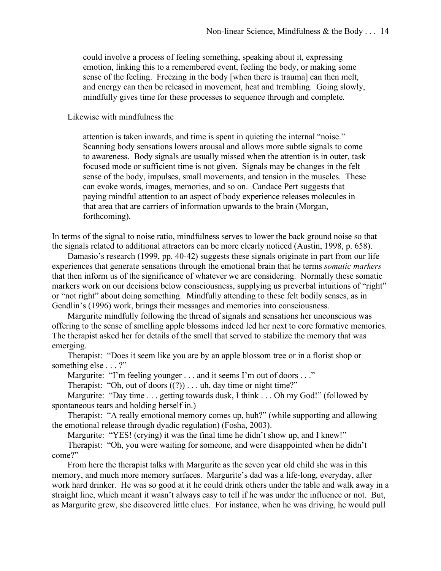could involve a process of feeling something, speaking about it, expressing emotion, linking this to a remembered event, feeling the body, or making some sense of the feeling. Freezing in the body [when there is trauma] can then melt, and energy can then be released in movement, heat and trembling. Going slowly, mindfully gives time for these processes to sequence through and complete.

Likewise with mindfulness the

attention is taken inwards, and time is spent in quieting the internal "noise." Scanning body sensations lowers arousal and allows more subtle signals to come to awareness. Body signals are usually missed when the attention is in outer, task focused mode or sufficient time is not given. Signals may be changes in the felt sense of the body, impulses, small movements, and tension in the muscles. These can evoke words, images, memories, and so on. Candace Pert suggests that paying mindful attention to an aspect of body experience releases molecules in that area that are carriers of information upwards to the brain (Morgan, forthcoming).

In terms of the signal to noise ratio, mindfulness serves to lower the back ground noise so that the signals related to additional attractors can be more clearly noticed (Austin, 1998, p. 658).

Damasio's research (1999, pp. 40-42) suggests these signals originate in part from our life experiences that generate sensations through the emotional brain that he terms *somatic markers* that then inform us of the significance of whatever we are considering. Normally these somatic markers work on our decisions below consciousness, supplying us preverbal intuitions of "right" or "not right" about doing something. Mindfully attending to these felt bodily senses, as in Gendlin's (1996) work, brings their messages and memories into consciousness.

Margurite mindfully following the thread of signals and sensations her unconscious was offering to the sense of smelling apple blossoms indeed led her next to core formative memories. The therapist asked her for details of the smell that served to stabilize the memory that was emerging.

Therapist: "Does it seem like you are by an apple blossom tree or in a florist shop or something else . . . ?"

Margurite: "I'm feeling younger . . . and it seems I'm out of doors . . ."

Therapist: "Oh, out of doors  $((?))$ ... uh, day time or night time?"

Margurite: "Day time . . . getting towards dusk, I think . . . Oh my God!" (followed by spontaneous tears and holding herself in.)

Therapist: "A really emotional memory comes up, huh?" (while supporting and allowing the emotional release through dyadic regulation) (Fosha, 2003).

Margurite: "YES! (crying) it was the final time he didn't show up, and I knew!"

Therapist: "Oh, you were waiting for someone, and were disappointed when he didn't come?"

From here the therapist talks with Margurite as the seven year old child she was in this memory, and much more memory surfaces. Margurite's dad was a life-long, everyday, after work hard drinker. He was so good at it he could drink others under the table and walk away in a straight line, which meant it wasn't always easy to tell if he was under the influence or not. But, as Margurite grew, she discovered little clues. For instance, when he was driving, he would pull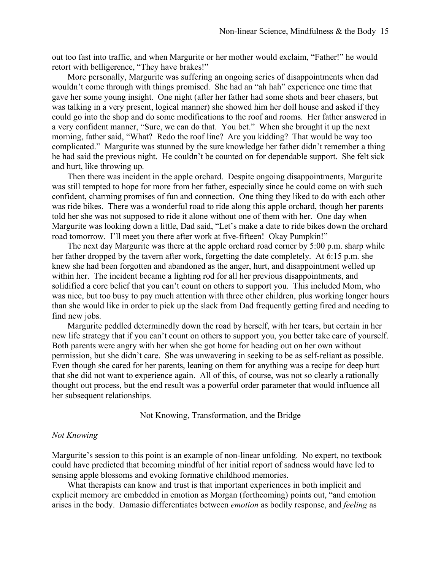out too fast into traffic, and when Margurite or her mother would exclaim, "Father!" he would retort with belligerence, "They have brakes!"

More personally, Margurite was suffering an ongoing series of disappointments when dad wouldn't come through with things promised. She had an "ah hah" experience one time that gave her some young insight. One night (after her father had some shots and beer chasers, but was talking in a very present, logical manner) she showed him her doll house and asked if they could go into the shop and do some modifications to the roof and rooms. Her father answered in a very confident manner, "Sure, we can do that. You bet." When she brought it up the next morning, father said, "What? Redo the roof line? Are you kidding? That would be way too complicated." Margurite was stunned by the sure knowledge her father didn't remember a thing he had said the previous night. He couldn't be counted on for dependable support. She felt sick and hurt, like throwing up.

Then there was incident in the apple orchard. Despite ongoing disappointments, Margurite was still tempted to hope for more from her father, especially since he could come on with such confident, charming promises of fun and connection. One thing they liked to do with each other was ride bikes. There was a wonderful road to ride along this apple orchard, though her parents told her she was not supposed to ride it alone without one of them with her. One day when Margurite was looking down a little, Dad said, "Let's make a date to ride bikes down the orchard road tomorrow. I'll meet you there after work at five-fifteen! Okay Pumpkin!"

The next day Margurite was there at the apple orchard road corner by 5:00 p.m. sharp while her father dropped by the tavern after work, forgetting the date completely. At 6:15 p.m. she knew she had been forgotten and abandoned as the anger, hurt, and disappointment welled up within her. The incident became a lighting rod for all her previous disappointments, and solidified a core belief that you can't count on others to support you. This included Mom, who was nice, but too busy to pay much attention with three other children, plus working longer hours than she would like in order to pick up the slack from Dad frequently getting fired and needing to find new jobs.

Margurite peddled determinedly down the road by herself, with her tears, but certain in her new life strategy that if you can't count on others to support you, you better take care of yourself. Both parents were angry with her when she got home for heading out on her own without permission, but she didn't care. She was unwavering in seeking to be as self-reliant as possible. Even though she cared for her parents, leaning on them for anything was a recipe for deep hurt that she did not want to experience again. All of this, of course, was not so clearly a rationally thought out process, but the end result was a powerful order parameter that would influence all her subsequent relationships.

Not Knowing, Transformation, and the Bridge

#### *Not Knowing*

Margurite's session to this point is an example of non-linear unfolding. No expert, no textbook could have predicted that becoming mindful of her initial report of sadness would have led to sensing apple blossoms and evoking formative childhood memories.

What therapists can know and trust is that important experiences in both implicit and explicit memory are embedded in emotion as Morgan (forthcoming) points out, "and emotion arises in the body. Damasio differentiates between *emotion* as bodily response, and *feeling* as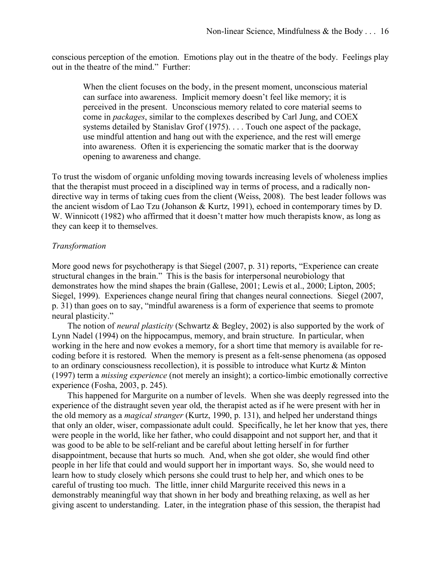conscious perception of the emotion. Emotions play out in the theatre of the body. Feelings play out in the theatre of the mind." Further:

When the client focuses on the body, in the present moment, unconscious material can surface into awareness. Implicit memory doesn't feel like memory; it is perceived in the present. Unconscious memory related to core material seems to come in *packages*, similar to the complexes described by Carl Jung, and COEX systems detailed by Stanislav Grof (1975). . . . Touch one aspect of the package, use mindful attention and hang out with the experience, and the rest will emerge into awareness. Often it is experiencing the somatic marker that is the doorway opening to awareness and change.

To trust the wisdom of organic unfolding moving towards increasing levels of wholeness implies that the therapist must proceed in a disciplined way in terms of process, and a radically nondirective way in terms of taking cues from the client (Weiss, 2008). The best leader follows was the ancient wisdom of Lao Tzu (Johanson & Kurtz, 1991), echoed in contemporary times by D. W. Winnicott (1982) who affirmed that it doesn't matter how much therapists know, as long as they can keep it to themselves.

# *Transformation*

More good news for psychotherapy is that Siegel (2007, p. 31) reports, "Experience can create structural changes in the brain." This is the basis for interpersonal neurobiology that demonstrates how the mind shapes the brain (Gallese, 2001; Lewis et al., 2000; Lipton, 2005; Siegel, 1999). Experiences change neural firing that changes neural connections. Siegel (2007, p. 31) than goes on to say, "mindful awareness is a form of experience that seems to promote neural plasticity."

The notion of *neural plasticity* (Schwartz & Begley, 2002) is also supported by the work of Lynn Nadel (1994) on the hippocampus, memory, and brain structure. In particular, when working in the here and now evokes a memory, for a short time that memory is available for recoding before it is restored. When the memory is present as a felt-sense phenomena (as opposed to an ordinary consciousness recollection), it is possible to introduce what Kurtz & Minton (1997) term a *missing experience* (not merely an insight); a cortico-limbic emotionally corrective experience (Fosha, 2003, p. 245).

This happened for Margurite on a number of levels. When she was deeply regressed into the experience of the distraught seven year old, the therapist acted as if he were present with her in the old memory as a *magical stranger* (Kurtz, 1990, p. 131), and helped her understand things that only an older, wiser, compassionate adult could. Specifically, he let her know that yes, there were people in the world, like her father, who could disappoint and not support her, and that it was good to be able to be self-reliant and be careful about letting herself in for further disappointment, because that hurts so much. And, when she got older, she would find other people in her life that could and would support her in important ways. So, she would need to learn how to study closely which persons she could trust to help her, and which ones to be careful of trusting too much. The little, inner child Margurite received this news in a demonstrably meaningful way that shown in her body and breathing relaxing, as well as her giving ascent to understanding. Later, in the integration phase of this session, the therapist had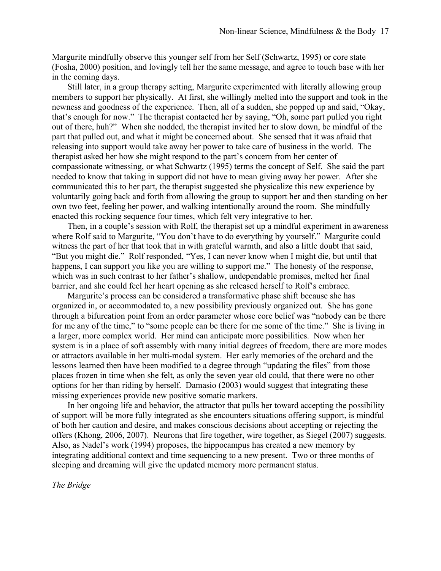Margurite mindfully observe this younger self from her Self (Schwartz, 1995) or core state (Fosha, 2000) position, and lovingly tell her the same message, and agree to touch base with her in the coming days.

Still later, in a group therapy setting, Margurite experimented with literally allowing group members to support her physically. At first, she willingly melted into the support and took in the newness and goodness of the experience. Then, all of a sudden, she popped up and said, "Okay, that's enough for now." The therapist contacted her by saying, "Oh, some part pulled you right out of there, huh?" When she nodded, the therapist invited her to slow down, be mindful of the part that pulled out, and what it might be concerned about. She sensed that it was afraid that releasing into support would take away her power to take care of business in the world. The therapist asked her how she might respond to the part's concern from her center of compassionate witnessing, or what Schwartz (1995) terms the concept of Self. She said the part needed to know that taking in support did not have to mean giving away her power. After she communicated this to her part, the therapist suggested she physicalize this new experience by voluntarily going back and forth from allowing the group to support her and then standing on her own two feet, feeling her power, and walking intentionally around the room. She mindfully enacted this rocking sequence four times, which felt very integrative to her.

Then, in a couple's session with Rolf, the therapist set up a mindful experiment in awareness where Rolf said to Margurite, "You don't have to do everything by yourself." Margurite could witness the part of her that took that in with grateful warmth, and also a little doubt that said, "But you might die." Rolf responded, "Yes, I can never know when I might die, but until that happens, I can support you like you are willing to support me." The honesty of the response, which was in such contrast to her father's shallow, undependable promises, melted her final barrier, and she could feel her heart opening as she released herself to Rolf's embrace.

Margurite's process can be considered a transformative phase shift because she has organized in, or accommodated to, a new possibility previously organized out. She has gone through a bifurcation point from an order parameter whose core belief was "nobody can be there for me any of the time," to "some people can be there for me some of the time." She is living in a larger, more complex world. Her mind can anticipate more possibilities. Now when her system is in a place of soft assembly with many initial degrees of freedom, there are more modes or attractors available in her multi-modal system. Her early memories of the orchard and the lessons learned then have been modified to a degree through "updating the files" from those places frozen in time when she felt, as only the seven year old could, that there were no other options for her than riding by herself. Damasio (2003) would suggest that integrating these missing experiences provide new positive somatic markers.

In her ongoing life and behavior, the attractor that pulls her toward accepting the possibility of support will be more fully integrated as she encounters situations offering support, is mindful of both her caution and desire, and makes conscious decisions about accepting or rejecting the offers (Khong, 2006, 2007). Neurons that fire together, wire together, as Siegel (2007) suggests. Also, as Nadel's work (1994) proposes, the hippocampus has created a new memory by integrating additional context and time sequencing to a new present. Two or three months of sleeping and dreaming will give the updated memory more permanent status.

*The Bridge*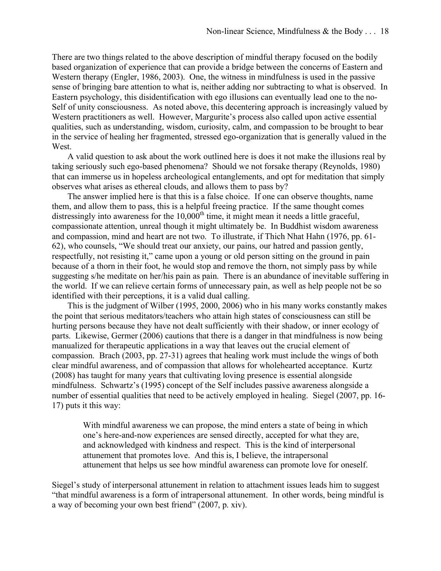There are two things related to the above description of mindful therapy focused on the bodily based organization of experience that can provide a bridge between the concerns of Eastern and Western therapy (Engler, 1986, 2003). One, the witness in mindfulness is used in the passive sense of bringing bare attention to what is, neither adding nor subtracting to what is observed. In Eastern psychology, this disidentification with ego illusions can eventually lead one to the no-Self of unity consciousness. As noted above, this decentering approach is increasingly valued by Western practitioners as well. However, Margurite's process also called upon active essential qualities, such as understanding, wisdom, curiosity, calm, and compassion to be brought to bear in the service of healing her fragmented, stressed ego-organization that is generally valued in the West.

A valid question to ask about the work outlined here is does it not make the illusions real by taking seriously such ego-based phenomena? Should we not forsake therapy (Reynolds, 1980) that can immerse us in hopeless archeological entanglements, and opt for meditation that simply observes what arises as ethereal clouds, and allows them to pass by?

The answer implied here is that this is a false choice. If one can observe thoughts, name them, and allow them to pass, this is a helpful freeing practice. If the same thought comes distressingly into awareness for the  $10,000$ <sup>th</sup> time, it might mean it needs a little graceful, compassionate attention, unreal though it might ultimately be. In Buddhist wisdom awareness and compassion, mind and heart are not two. To illustrate, if Thich Nhat Hahn (1976, pp. 61- 62), who counsels, "We should treat our anxiety, our pains, our hatred and passion gently, respectfully, not resisting it," came upon a young or old person sitting on the ground in pain because of a thorn in their foot, he would stop and remove the thorn, not simply pass by while suggesting s/he meditate on her/his pain as pain. There is an abundance of inevitable suffering in the world. If we can relieve certain forms of unnecessary pain, as well as help people not be so identified with their perceptions, it is a valid dual calling.

This is the judgment of Wilber (1995, 2000, 2006) who in his many works constantly makes the point that serious meditators/teachers who attain high states of consciousness can still be hurting persons because they have not dealt sufficiently with their shadow, or inner ecology of parts. Likewise, Germer (2006) cautions that there is a danger in that mindfulness is now being manualized for therapeutic applications in a way that leaves out the crucial element of compassion. Brach (2003, pp. 27-31) agrees that healing work must include the wings of both clear mindful awareness, and of compassion that allows for wholehearted acceptance. Kurtz (2008) has taught for many years that cultivating loving presence is essential alongside mindfulness. Schwartz's (1995) concept of the Self includes passive awareness alongside a number of essential qualities that need to be actively employed in healing. Siegel (2007, pp. 16- 17) puts it this way:

With mindful awareness we can propose, the mind enters a state of being in which one's here-and-now experiences are sensed directly, accepted for what they are, and acknowledged with kindness and respect. This is the kind of interpersonal attunement that promotes love. And this is, I believe, the intrapersonal attunement that helps us see how mindful awareness can promote love for oneself.

Siegel's study of interpersonal attunement in relation to attachment issues leads him to suggest "that mindful awareness is a form of intrapersonal attunement. In other words, being mindful is a way of becoming your own best friend" (2007, p. xiv).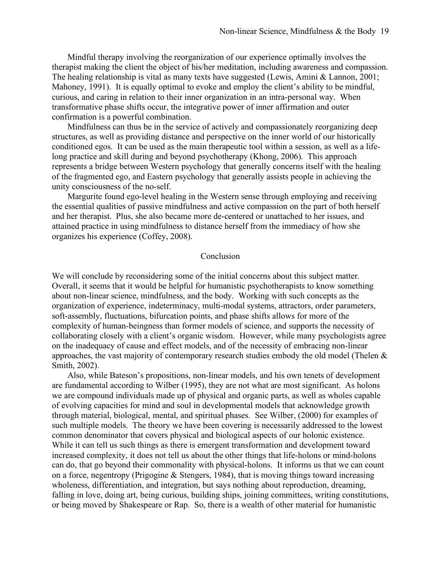Mindful therapy involving the reorganization of our experience optimally involves the therapist making the client the object of his/her meditation, including awareness and compassion. The healing relationship is vital as many texts have suggested (Lewis, Amini & Lannon, 2001; Mahoney, 1991). It is equally optimal to evoke and employ the client's ability to be mindful, curious, and caring in relation to their inner organization in an intra-personal way. When transformative phase shifts occur, the integrative power of inner affirmation and outer confirmation is a powerful combination.

Mindfulness can thus be in the service of actively and compassionately reorganizing deep structures, as well as providing distance and perspective on the inner world of our historically conditioned egos. It can be used as the main therapeutic tool within a session, as well as a lifelong practice and skill during and beyond psychotherapy (Khong, 2006). This approach represents a bridge between Western psychology that generally concerns itself with the healing of the fragmented ego, and Eastern psychology that generally assists people in achieving the unity consciousness of the no-self.

Margurite found ego-level healing in the Western sense through employing and receiving the essential qualities of passive mindfulness and active compassion on the part of both herself and her therapist. Plus, she also became more de-centered or unattached to her issues, and attained practice in using mindfulness to distance herself from the immediacy of how she organizes his experience (Coffey, 2008).

#### Conclusion

We will conclude by reconsidering some of the initial concerns about this subject matter. Overall, it seems that it would be helpful for humanistic psychotherapists to know something about non-linear science, mindfulness, and the body. Working with such concepts as the organization of experience, indeterminacy, multi-modal systems, attractors, order parameters, soft-assembly, fluctuations, bifurcation points, and phase shifts allows for more of the complexity of human-beingness than former models of science, and supports the necessity of collaborating closely with a client's organic wisdom. However, while many psychologists agree on the inadequacy of cause and effect models, and of the necessity of embracing non-linear approaches, the vast majority of contemporary research studies embody the old model (Thelen & Smith, 2002).

Also, while Bateson's propositions, non-linear models, and his own tenets of development are fundamental according to Wilber (1995), they are not what are most significant. As holons we are compound individuals made up of physical and organic parts, as well as wholes capable of evolving capacities for mind and soul in developmental models that acknowledge growth through material, biological, mental, and spiritual phases. See Wilber, (2000) for examples of such multiple models. The theory we have been covering is necessarily addressed to the lowest common denominator that covers physical and biological aspects of our holonic existence. While it can tell us such things as there is emergent transformation and development toward increased complexity, it does not tell us about the other things that life-holons or mind-holons can do, that go beyond their commonality with physical-holons. It informs us that we can count on a force, negentropy (Prigogine & Stengers, 1984), that is moving things toward increasing wholeness, differentiation, and integration, but says nothing about reproduction, dreaming, falling in love, doing art, being curious, building ships, joining committees, writing constitutions, or being moved by Shakespeare or Rap. So, there is a wealth of other material for humanistic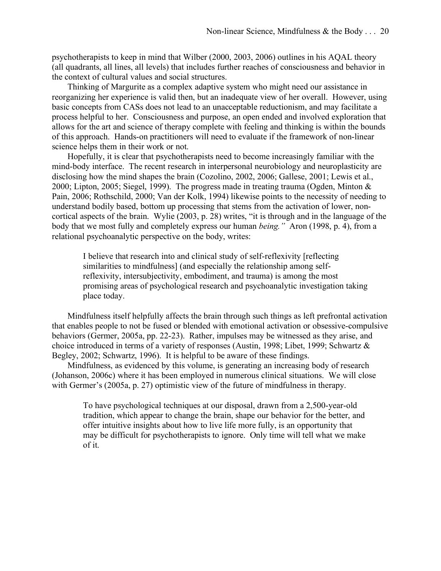psychotherapists to keep in mind that Wilber (2000, 2003, 2006) outlines in his AQAL theory (all quadrants, all lines, all levels) that includes further reaches of consciousness and behavior in the context of cultural values and social structures.

Thinking of Margurite as a complex adaptive system who might need our assistance in reorganizing her experience is valid then, but an inadequate view of her overall. However, using basic concepts from CASs does not lead to an unacceptable reductionism, and may facilitate a process helpful to her. Consciousness and purpose, an open ended and involved exploration that allows for the art and science of therapy complete with feeling and thinking is within the bounds of this approach. Hands-on practitioners will need to evaluate if the framework of non-linear science helps them in their work or not.

Hopefully, it is clear that psychotherapists need to become increasingly familiar with the mind-body interface. The recent research in interpersonal neurobiology and neuroplasticity are disclosing how the mind shapes the brain (Cozolino, 2002, 2006; Gallese, 2001; Lewis et al., 2000; Lipton, 2005; Siegel, 1999). The progress made in treating trauma (Ogden, Minton & Pain, 2006; Rothschild, 2000; Van der Kolk, 1994) likewise points to the necessity of needing to understand bodily based, bottom up processing that stems from the activation of lower, noncortical aspects of the brain. Wylie (2003, p. 28) writes, "it is through and in the language of the body that we most fully and completely express our human *being."* Aron (1998, p. 4), from a relational psychoanalytic perspective on the body, writes:

I believe that research into and clinical study of self-reflexivity [reflecting similarities to mindfulness] (and especially the relationship among selfreflexivity, intersubjectivity, embodiment, and trauma) is among the most promising areas of psychological research and psychoanalytic investigation taking place today.

Mindfulness itself helpfully affects the brain through such things as left prefrontal activation that enables people to not be fused or blended with emotional activation or obsessive-compulsive behaviors (Germer, 2005a, pp. 22-23). Rather, impulses may be witnessed as they arise, and choice introduced in terms of a variety of responses (Austin, 1998; Libet, 1999; Schwartz & Begley, 2002; Schwartz, 1996). It is helpful to be aware of these findings.

Mindfulness, as evidenced by this volume, is generating an increasing body of research (Johanson, 2006c) where it has been employed in numerous clinical situations. We will close with Germer's (2005a, p. 27) optimistic view of the future of mindfulness in therapy.

To have psychological techniques at our disposal, drawn from a 2,500-year-old tradition, which appear to change the brain, shape our behavior for the better, and offer intuitive insights about how to live life more fully, is an opportunity that may be difficult for psychotherapists to ignore. Only time will tell what we make of it.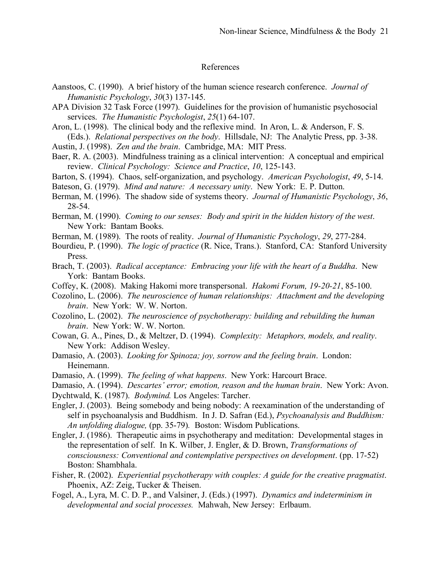#### References

- Aanstoos, C. (1990). A brief history of the human science research conference. *Journal of Humanistic Psychology*, *30*(3) 137-145.
- APA Division 32 Task Force (1997). Guidelines for the provision of humanistic psychosocial services. *The Humanistic Psychologist*, *25*(1) 64-107.
- Aron, L. (1998). The clinical body and the reflexive mind. In Aron, L. & Anderson, F. S. (Eds.). *Relational perspectives on the body*. Hillsdale, NJ: The Analytic Press, pp. 3-38.

Austin, J. (1998). *Zen and the brain*. Cambridge, MA: MIT Press.

- Baer, R. A. (2003). Mindfulness training as a clinical intervention: A conceptual and empirical review. *Clinical Psychology: Science and Practice*, *10*, 125-143.
- Barton, S. (1994). Chaos, self-organization, and psychology. *American Psychologist*, *49*, 5-14.
- Bateson, G. (1979). *Mind and nature: A necessary unity*. New York: E. P. Dutton.
- Berman, M. (1996). The shadow side of systems theory. *Journal of Humanistic Psychology*, *36*, 28-54.
- Berman, M. (1990). *Coming to our senses: Body and spirit in the hidden history of the west*. New York: Bantam Books.
- Berman, M. (1989). The roots of reality. *Journal of Humanistic Psychology*, *29*, 277-284.
- Bourdieu, P. (1990). *The logic of practice* (R. Nice, Trans.). Stanford, CA: Stanford University Press.
- Brach, T. (2003). *Radical acceptance: Embracing your life with the heart of a Buddha*. New York: Bantam Books.
- Coffey, K. (2008). Making Hakomi more transpersonal. *Hakomi Forum, 19-20-21*, 85-100.
- Cozolino, L. (2006). *The neuroscience of human relationships: Attachment and the developing brain*. New York: W. W. Norton.
- Cozolino, L. (2002). *The neuroscience of psychotherapy: building and rebuilding the human brain*. New York: W. W. Norton.
- Cowan, G. A., Pines, D., & Meltzer, D. (1994). *Complexity: Metaphors, models, and reality*. New York: Addison Wesley.
- Damasio, A. (2003). *Looking for Spinoza; joy, sorrow and the feeling brain*. London: Heinemann.
- Damasio, A. (1999). *The feeling of what happens*. New York: Harcourt Brace.
- Damasio, A. (1994). *Descartes' error; emotion, reason and the human brain*. New York: Avon.
- Dychtwald, K. (1987). *Bodymind.* Los Angeles: Tarcher.
- Engler, J. (2003). Being somebody and being nobody: A reexamination of the understanding of self in psychoanalysis and Buddhism. In J. D. Safran (Ed.), *Psychoanalysis and Buddhism: An unfolding dialogue,* (pp. 35-79)*.* Boston: Wisdom Publications.
- Engler, J. (1986). Therapeutic aims in psychotherapy and meditation: Developmental stages in the representation of self. In K. Wilber, J. Engler, & D. Brown, *Transformations of consciousness: Conventional and contemplative perspectives on development*. (pp. 17-52) Boston: Shambhala.
- Fisher, R. (2002). *Experiential psychotherapy with couples: A guide for the creative pragmatist*. Phoenix, AZ: Zeig, Tucker & Theisen.
- Fogel, A., Lyra, M. C. D. P., and Valsiner, J. (Eds.) (1997). *Dynamics and indeterminism in developmental and social processes.* Mahwah, New Jersey: Erlbaum.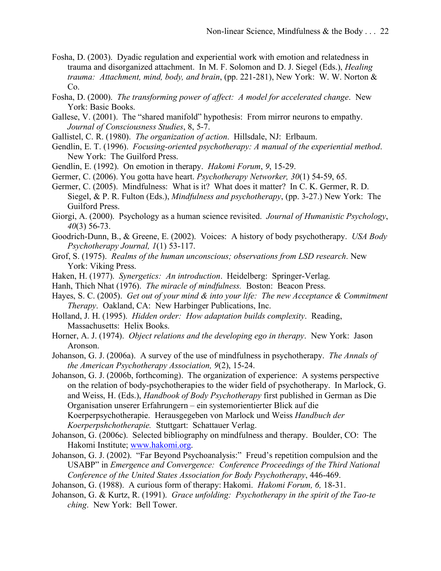- Fosha, D. (2003). Dyadic regulation and experiential work with emotion and relatedness in trauma and disorganized attachment. In M. F. Solomon and D. J. Siegel (Eds.), *Healing trauma: Attachment, mind, body, and brain*, (pp. 221-281), New York: W. W. Norton & Co.
- Fosha, D. (2000). *The transforming power of affect: A model for accelerated change*. New York: Basic Books.
- Gallese, V. (2001). The "shared manifold" hypothesis: From mirror neurons to empathy. *Journal of Consciousness Studies*, 8, 5-7.
- Gallistel, C. R. (1980). *The organization of action*. Hillsdale, NJ: Erlbaum.
- Gendlin, E. T. (1996). *Focusing-oriented psychotherapy: A manual of the experiential method*. New York: The Guilford Press.
- Gendlin, E. (1992). On emotion in therapy. *Hakomi Forum*, *9*, 15-29.
- Germer, C. (2006). You gotta have heart. *Psychotherapy Networker, 30*(1) 54-59, 65.
- Germer, C. (2005). Mindfulness: What is it? What does it matter? In C. K. Germer, R. D. Siegel, & P. R. Fulton (Eds.), *Mindfulness and psychotherapy*, (pp. 3-27.) New York: The Guilford Press.
- Giorgi, A. (2000). Psychology as a human science revisited. *Journal of Humanistic Psychology*, *40*(3) 56-73.
- Goodrich-Dunn, B., & Greene, E. (2002). Voices: A history of body psychotherapy. *USA Body Psychotherapy Journal, 1*(1) 53-117.
- Grof, S. (1975). *Realms of the human unconscious; observations from LSD research*. New York: Viking Press.
- Haken, H. (1977). *Synergetics: An introduction*. Heidelberg: Springer-Verlag.
- Hanh, Thich Nhat (1976). *The miracle of mindfulness.* Boston: Beacon Press.
- Hayes, S. C. (2005). *Get out of your mind & into your life: The new Acceptance & Commitment Therapy*. Oakland, CA: New Harbinger Publications, Inc.
- Holland, J. H. (1995). *Hidden order: How adaptation builds complexity*. Reading, Massachusetts: Helix Books.
- Horner, A. J. (1974). *Object relations and the developing ego in therapy*. New York: Jason Aronson.
- Johanson, G. J. (2006a). A survey of the use of mindfulness in psychotherapy. *The Annals of the American Psychotherapy Association, 9*(2), 15-24.
- Johanson, G. J. (2006b, forthcoming). The organization of experience: A systems perspective on the relation of body-psychotherapies to the wider field of psychotherapy. In Marlock, G. and Weiss, H. (Eds.), *Handbook of Body Psychotherapy* first published in German as Die Organisation unserer Erfahrungern – ein systemorientierter Blick auf die Koerperpsychotherapie. Herausgegeben von Marlock und Weiss *Handbuch der Koerperpshchotherapie.* Stuttgart: Schattauer Verlag.
- Johanson, G. (2006c). Selected bibliography on mindfulness and therapy. Boulder, CO: The Hakomi Institute; www.hakomi.org.
- Johanson, G. J. (2002). "Far Beyond Psychoanalysis:" Freud's repetition compulsion and the USABP" in *Emergence and Convergence: Conference Proceedings of the Third National Conference of the United States Association for Body Psychotherapy*, 446-469.
- Johanson, G. (1988). A curious form of therapy: Hakomi. *Hakomi Forum, 6,* 18-31.
- Johanson, G. & Kurtz, R. (1991). *Grace unfolding: Psychotherapy in the spirit of the Tao-te ching*. New York: Bell Tower.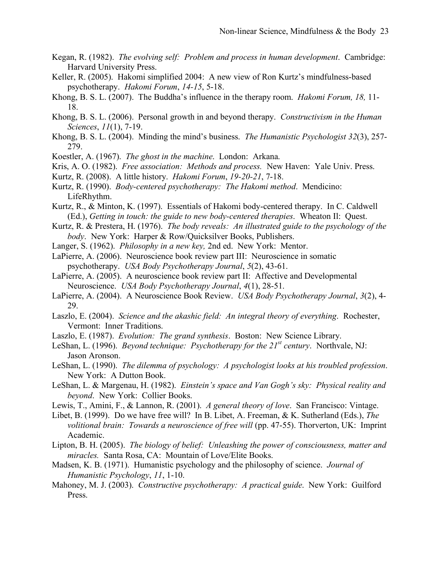- Kegan, R. (1982). *The evolving self: Problem and process in human development*. Cambridge: Harvard University Press.
- Keller, R. (2005). Hakomi simplified 2004: A new view of Ron Kurtz's mindfulness-based psychotherapy. *Hakomi Forum*, *14-15*, 5-18.
- Khong, B. S. L. (2007). The Buddha's influence in the therapy room. *Hakomi Forum, 18,* 11- 18.
- Khong, B. S. L. (2006). Personal growth in and beyond therapy. *Constructivism in the Human Sciences*, *11*(1), 7-19.
- Khong, B. S. L. (2004). Minding the mind's business. *The Humanistic Psychologist 32*(3), 257- 279.
- Koestler, A. (1967). *The ghost in the machine*. London: Arkana.
- Kris, A. O. (1982). *Free association: Methods and process.* New Haven: Yale Univ. Press.
- Kurtz, R. (2008). A little history. *Hakomi Forum*, *19-20-21*, 7-18.
- Kurtz, R. (1990). *Body-centered psychotherapy: The Hakomi method*. Mendicino: LifeRhythm.
- Kurtz, R., & Minton, K. (1997). Essentials of Hakomi body-centered therapy. In C. Caldwell (Ed.), *Getting in touch: the guide to new body-centered therapies*. Wheaton Il: Quest.
- Kurtz, R. & Prestera, H. (1976). *The body reveals: An illustrated guide to the psychology of the body*. New York: Harper & Row/Quicksilver Books, Publishers.
- Langer, S. (1962). *Philosophy in a new key,* 2nd ed. New York: Mentor.
- LaPierre, A. (2006). Neuroscience book review part III: Neuroscience in somatic psychotherapy. *USA Body Psychotherapy Journal*, *5*(2), 43-61.
- LaPierre, A. (2005). A neuroscience book review part II: Affective and Developmental Neuroscience. *USA Body Psychotherapy Journal*, *4*(1), 28-51.
- LaPierre, A. (2004). A Neuroscience Book Review. *USA Body Psychotherapy Journal*, *3*(2), 4- 29.
- Laszlo, E. (2004). *Science and the akashic field: An integral theory of everything*. Rochester, Vermont: Inner Traditions.
- Laszlo, E. (1987). *Evolution: The grand synthesis*. Boston: New Science Library.
- LeShan, L. (1996). *Beyond technique: Psychotherapy for the 21st century*. Northvale, NJ: Jason Aronson.
- LeShan, L. (1990). *The dilemma of psychology: A psychologist looks at his troubled profession*. New York: A Dutton Book.
- LeShan, L. & Margenau, H. (1982). *Einstein's space and Van Gogh's sky: Physical reality and beyond*. New York: Collier Books.
- Lewis, T., Amini, F., & Lannon, R. (2001). *A general theory of love*. San Francisco: Vintage.
- Libet, B. (1999). Do we have free will? In B. Libet, A. Freeman, & K. Sutherland (Eds.), *The volitional brain: Towards a neuroscience of free will* (pp. 47-55). Thorverton, UK: Imprint Academic.
- Lipton, B. H. (2005). *The biology of belief: Unleashing the power of consciousness, matter and miracles.* Santa Rosa, CA: Mountain of Love/Elite Books.
- Madsen, K. B. (1971). Humanistic psychology and the philosophy of science. *Journal of Humanistic Psychology*, *11*, 1-10.
- Mahoney, M. J. (2003). *Constructive psychotherapy: A practical guide*. New York: Guilford Press.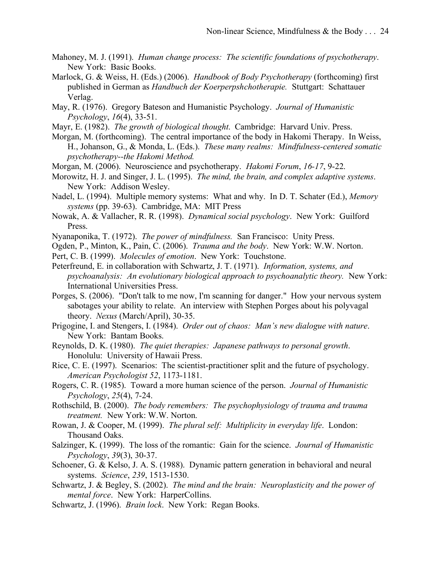- Mahoney, M. J. (1991). *Human change process: The scientific foundations of psychotherapy*. New York: Basic Books.
- Marlock, G. & Weiss, H. (Eds.) (2006). *Handbook of Body Psychotherapy* (forthcoming) first published in German as *Handbuch der Koerperpshchotherapie.* Stuttgart: Schattauer Verlag.
- May, R. (1976). Gregory Bateson and Humanistic Psychology. *Journal of Humanistic Psychology*, *16*(4), 33-51.
- Mayr, E. (1982). *The growth of biological thought*. Cambridge: Harvard Univ. Press.
- Morgan, M. (forthcoming). The central importance of the body in Hakomi Therapy. In Weiss, H., Johanson, G., & Monda, L. (Eds.). *These many realms: Mindfulness-centered somatic psychotherapy--the Hakomi Method.*
- Morgan, M. (2006). Neuroscience and psychotherapy. *Hakomi Forum*, *16-17*, 9-22.
- Morowitz, H. J. and Singer, J. L. (1995). *The mind, the brain, and complex adaptive systems*. New York: Addison Wesley.
- Nadel, L. (1994). Multiple memory systems: What and why. In D. T. Schater (Ed.), *Memory systems* (pp. 39-63). Cambridge, MA: MIT Press
- Nowak, A. & Vallacher, R. R. (1998). *Dynamical social psychology*. New York: Guilford Press.
- Nyanaponika, T. (1972). *The power of mindfulness.* San Francisco: Unity Press.
- Ogden, P., Minton, K., Pain, C. (2006). *Trauma and the body*. New York: W.W. Norton.
- Pert, C. B. (1999). *Molecules of emotion*. New York: Touchstone.
- Peterfreund, E. in collaboration with Schwartz, J. T. (1971). *Information, systems, and psychoanalysis: An evolutionary biological approach to psychoanalytic theory.* New York: International Universities Press.
- Porges, S. (2006). "Don't talk to me now, I'm scanning for danger." How your nervous system sabotages your ability to relate. An interview with Stephen Porges about his polyvagal theory. *Nexus* (March/April), 30-35.
- Prigogine, I. and Stengers, I. (1984). *Order out of chaos: Man's new dialogue with nature*. New York: Bantam Books.
- Reynolds, D. K. (1980). *The quiet therapies: Japanese pathways to personal growth*. Honolulu: University of Hawaii Press.
- Rice, C. E. (1997). Scenarios: The scientist-practitioner split and the future of psychology. *American Psychologist 52*, 1173-1181.
- Rogers, C. R. (1985). Toward a more human science of the person. *Journal of Humanistic Psychology*, *25*(4), 7-24.
- Rothschild, B. (2000). *The body remembers: The psychophysiology of trauma and trauma treatment.* New York: W.W. Norton.
- Rowan, J. & Cooper, M. (1999). *The plural self: Multiplicity in everyday life*. London: Thousand Oaks.
- Salzinger, K. (1999). The loss of the romantic: Gain for the science. *Journal of Humanistic Psychology*, *39*(3), 30-37.
- Schoener, G. & Kelso, J. A. S. (1988). Dynamic pattern generation in behavioral and neural systems. *Science*, *239*, 1513-1530.
- Schwartz, J. & Begley, S. (2002). *The mind and the brain: Neuroplasticity and the power of mental force*. New York: HarperCollins.
- Schwartz, J. (1996). *Brain lock*. New York: Regan Books.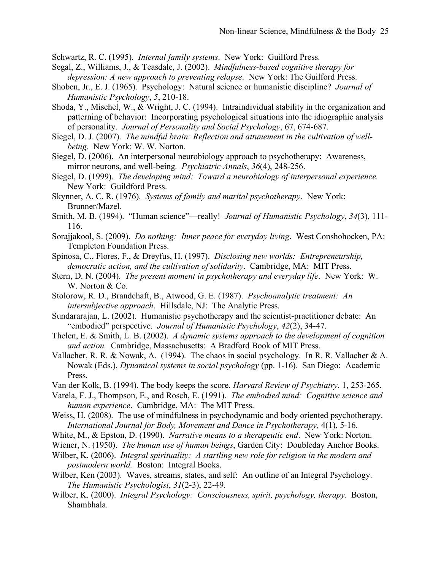Schwartz, R. C. (1995). *Internal family systems*. New York: Guilford Press.

- Segal, Z., Williams, J., & Teasdale, J. (2002). *Mindfulness-based cognitive therapy for depression: A new approach to preventing relapse*. New York: The Guilford Press.
- Shoben, Jr., E. J. (1965). Psychology: Natural science or humanistic discipline? *Journal of Humanistic Psychology*, *5*, 210-18.
- Shoda, Y., Mischel, W., & Wright, J. C. (1994). Intraindividual stability in the organization and patterning of behavior: Incorporating psychological situations into the idiographic analysis of personality. *Journal of Personality and Social Psychology*, 67, 674-687.
- Siegel, D. J. (2007). *The mindful brain: Reflection and attunement in the cultivation of wellbeing*. New York: W. W. Norton.
- Siegel, D. (2006). An interpersonal neurobiology approach to psychotherapy: Awareness, mirror neurons, and well-being. *Psychiatric Annals*, *36*(4), 248-256.
- Siegel, D. (1999). *The developing mind: Toward a neurobiology of interpersonal experience.* New York: Guildford Press.
- Skynner, A. C. R. (1976). *Systems of family and marital psychotherapy*. New York: Brunner/Mazel.
- Smith, M. B. (1994). "Human science"—really! *Journal of Humanistic Psychology*, *34*(3), 111- 116.
- Sorajjakool, S. (2009). *Do nothing: Inner peace for everyday living*. West Conshohocken, PA: Templeton Foundation Press.
- Spinosa, C., Flores, F., & Dreyfus, H. (1997). *Disclosing new worlds: Entrepreneurship, democratic action, and the cultivation of solidarity*. Cambridge, MA: MIT Press.
- Stern, D. N. (2004). *The present moment in psychotherapy and everyday life*. New York: W. W. Norton & Co.
- Stolorow, R. D., Brandchaft, B., Atwood, G. E. (1987). *Psychoanalytic treatment: An intersubjective approach*. Hillsdale, NJ: The Analytic Press.
- Sundararajan, L. (2002). Humanistic psychotherapy and the scientist-practitioner debate: An "embodied" perspective. *Journal of Humanistic Psychology*, *42*(2), 34-47.
- Thelen, E. & Smith, L. B. (2002). *A dynamic systems approach to the development of cognition and action.* Cambridge, Massachusetts: A Bradford Book of MIT Press.
- Vallacher, R. R. & Nowak, A. (1994). The chaos in social psychology. In R. R. Vallacher & A. Nowak (Eds.), *Dynamical systems in social psychology* (pp. 1-16). San Diego: Academic Press.
- Van der Kolk, B. (1994). The body keeps the score. *Harvard Review of Psychiatry*, 1, 253-265.
- Varela, F. J., Thompson, E., and Rosch, E. (1991). *The embodied mind: Cognitive science and human experience*. Cambridge, MA: The MIT Press.
- Weiss, H. (2008). The use of mindfulness in psychodynamic and body oriented psychotherapy. *International Journal for Body, Movement and Dance in Psychotherapy,* 4(1), 5-16.
- White, M., & Epston, D. (1990). *Narrative means to a therapeutic end*. New York: Norton.
- Wiener, N. (1950). *The human use of human beings*, Garden City: Doubleday Anchor Books.
- Wilber, K. (2006). *Integral spirituality: A startling new role for religion in the modern and postmodern world.* Boston: Integral Books.
- Wilber, Ken (2003). Waves, streams, states, and self: An outline of an Integral Psychology. *The Humanistic Psychologist*, *31*(2-3), 22-49.
- Wilber, K. (2000). *Integral Psychology: Consciousness, spirit, psychology, therapy*. Boston, Shambhala.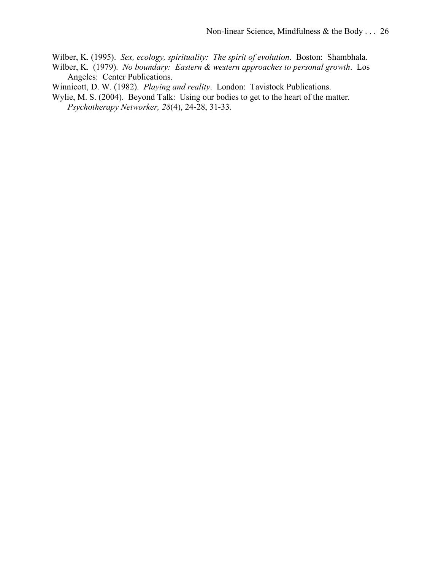Wilber, K. (1995). *Sex, ecology, spirituality: The spirit of evolution*. Boston: Shambhala.

Wilber, K. (1979). *No boundary: Eastern & western approaches to personal growth*. Los Angeles: Center Publications.

Winnicott, D. W. (1982). *Playing and reality*. London: Tavistock Publications.

Wylie, M. S. (2004). Beyond Talk: Using our bodies to get to the heart of the matter. *Psychotherapy Networker, 28*(4), 24-28, 31-33.